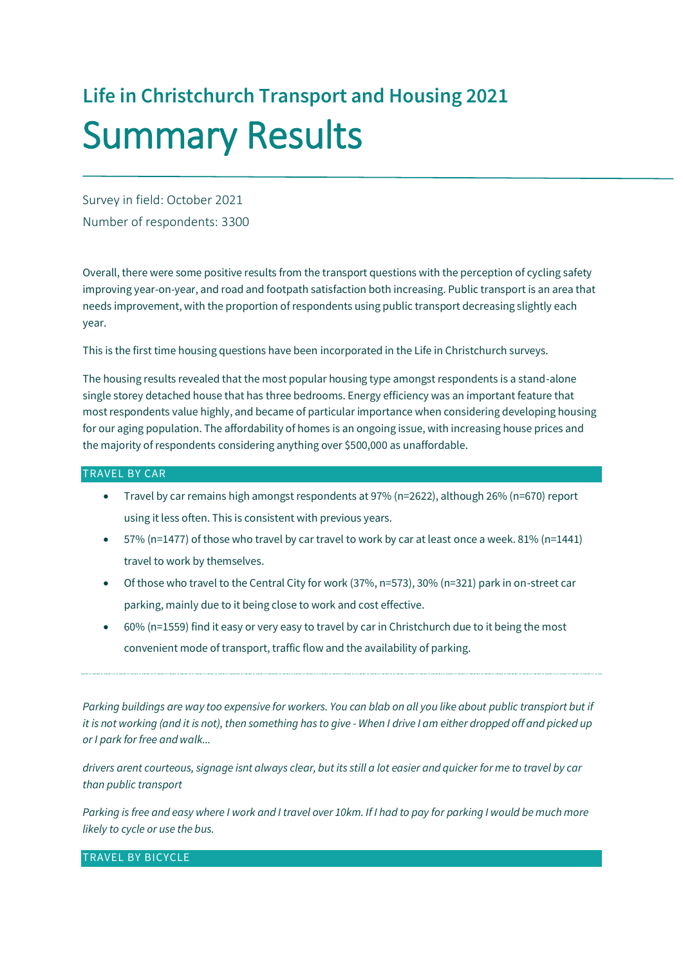# **Life in Christchurch Transport and Housing 2021** Summary Results

Survey in field: October 2021 Number of respondents: 3300

Overall, there were some positive results from the transport questions with the perception of cycling safety improving year-on-year, and road and footpath satisfaction both increasing. Public transport is an area that needs improvement, with the proportion of respondents using public transport decreasing slightly each year.

This is the first time housing questions have been incorporated in the Life in Christchurch surveys.

The housing results revealed that the most popular housing type amongst respondents is a stand-alone single storey detached house that has three bedrooms. Energy efficiency was an important feature that most respondents value highly, and became of particular importance when considering developing housing for our aging population. The affordability of homes is an ongoing issue, with increasing house prices and the majority of respondents considering anything over \$500,000 as unaffordable.

#### TRAVEL BY CAR

- Travel by car remains high amongst respondents at 97% (n=2622), although 26% (n=670) report using it less often. This is consistent with previous years.
- 57% (n=1477) of those who travel by car travel to work by car at least once a week. 81% (n=1441) travel to work by themselves.
- Of those who travel to the Central City for work (37%, n=573), 30% (n=321) park in on-street car parking, mainly due to it being close to work and cost effective.
- 60% (n=1559) find it easy or very easy to travel by car in Christchurch due to it being the most convenient mode of transport, traffic flow and the availability of parking.

*Parking buildings are way too expensive for workers. You can blab on all you like about public transpiort but if it is not working (and it is not), then something has to give - When I drive I am either dropped off and picked up or I park for free and walk...*

*drivers arent courteous, signage isnt always clear, but its still a lot easier and quicker for me to travel by car than public transport*

*Parking is free and easy where I work and I travel over 10km. If I had to pay for parking I would be much more likely to cycle or use the bus.*

TRAVEL BY BICYCLE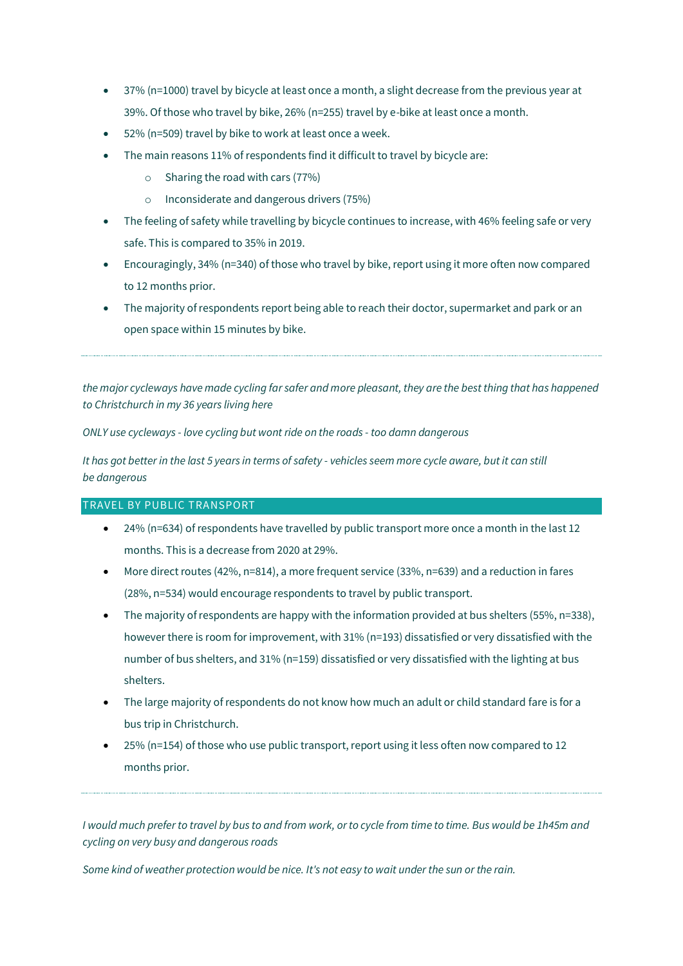- 37% (n=1000) travel by bicycle at least once a month, a slight decrease from the previous year at 39%. Of those who travel by bike, 26% (n=255) travel by e-bike at least once a month.
- 52% (n=509) travel by bike to work at least once a week.
- The main reasons 11% of respondents find it difficult to travel by bicycle are:
	- $\circ$  Sharing the road with cars (77%)
	- o Inconsiderate and dangerous drivers (75%)
- The feeling of safety while travelling by bicycle continues to increase, with 46% feeling safe or very safe. This is compared to 35% in 2019.
- Encouragingly, 34% (n=340) of those who travel by bike, report using it more often now compared to 12 months prior.
- The majority of respondents report being able to reach their doctor, supermarket and park or an open space within 15 minutes by bike.

*the major cycleways have made cycling far safer and more pleasant, they are the best thing that has happened to Christchurch in my 36 years living here*

*ONLY use cycleways - love cycling but wont ride on the roads - too damn dangerous*

*It has got better in the last 5 years in terms of safety - vehicles seem more cycle aware, but it can still be dangerous*

## TRAVEL BY PUBLIC TRANSPORT

- 24% (n=634) of respondents have travelled by public transport more once a month in the last 12 months. This is a decrease from 2020 at 29%.
- More direct routes (42%, n=814), a more frequent service (33%, n=639) and a reduction in fares (28%, n=534) would encourage respondents to travel by public transport.
- The majority of respondents are happy with the information provided at bus shelters (55%, n=338), however there is room for improvement, with 31% (n=193) dissatisfied or very dissatisfied with the number of bus shelters, and 31% (n=159) dissatisfied or very dissatisfied with the lighting at bus shelters.
- The large majority of respondents do not know how much an adult or child standard fare is for a bus trip in Christchurch.
- 25% (n=154) of those who use public transport, report using it less often now compared to 12 months prior.

*I would much prefer to travel by bus to and from work, or to cycle from time to time. Bus would be 1h45m and cycling on very busy and dangerous roads*

*Some kind of weather protection would be nice. It's not easy to wait under the sun or the rain.*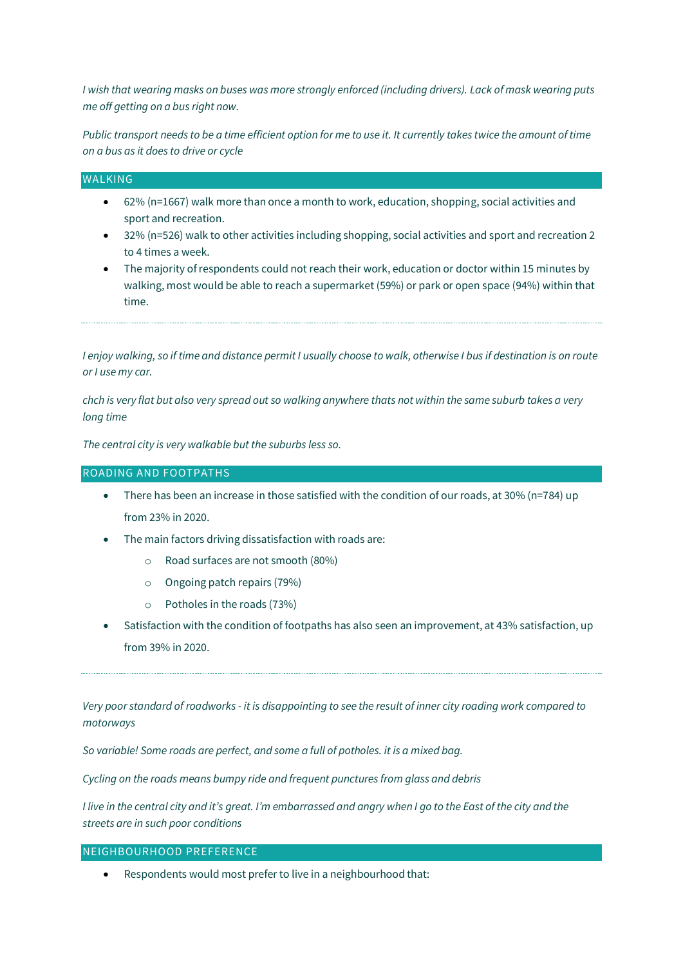*I wish that wearing masks on buses was more strongly enforced (including drivers). Lack of mask wearing puts me off getting on a bus right now.*

*Public transport needs to be a time efficient option for me to use it. It currently takes twice the amount of time on a bus as it does to drive or cycle*

#### **WALKING**

- 62% (n=1667) walk more than once a month to work, education, shopping, social activities and sport and recreation.
- 32% (n=526) walk to other activities including shopping, social activities and sport and recreation 2 to 4 times a week.
- The majority of respondents could not reach their work, education or doctor within 15 minutes by walking, most would be able to reach a supermarket (59%) or park or open space (94%) within that time.

*I enjoy walking, so if time and distance permit I usually choose to walk, otherwise I bus if destination is on route or I use my car.*

*chch is very flat but also very spread out so walking anywhere thats not within the same suburb takes a very long time*

*The central city is very walkable but the suburbs less so.*

#### ROADING AND FOOTPATHS

- $\bullet$  There has been an increase in those satisfied with the condition of our roads, at 30% (n=784) up from 23% in 2020.
- The main factors driving dissatisfaction with roads are:
	- o Road surfaces are not smooth (80%)
	- o Ongoing patch repairs (79%)
	- o Potholes in the roads (73%)
- Satisfaction with the condition of footpaths has also seen an improvement, at 43% satisfaction, up from 39% in 2020.

*Very poor standard of roadworks - it is disappointing to see the result of inner city roading work compared to motorways*

*So variable! Some roads are perfect, and some a full of potholes. it is a mixed bag.*

*Cycling on the roads means bumpy ride and frequent punctures from glass and debris*

*I live in the central city and it's great. I'm embarrassed and angry when I go to the East of the city and the streets are in such poor conditions*

# NEIGHBOURHOOD PREFERENCE

Respondents would most prefer to live in a neighbourhood that: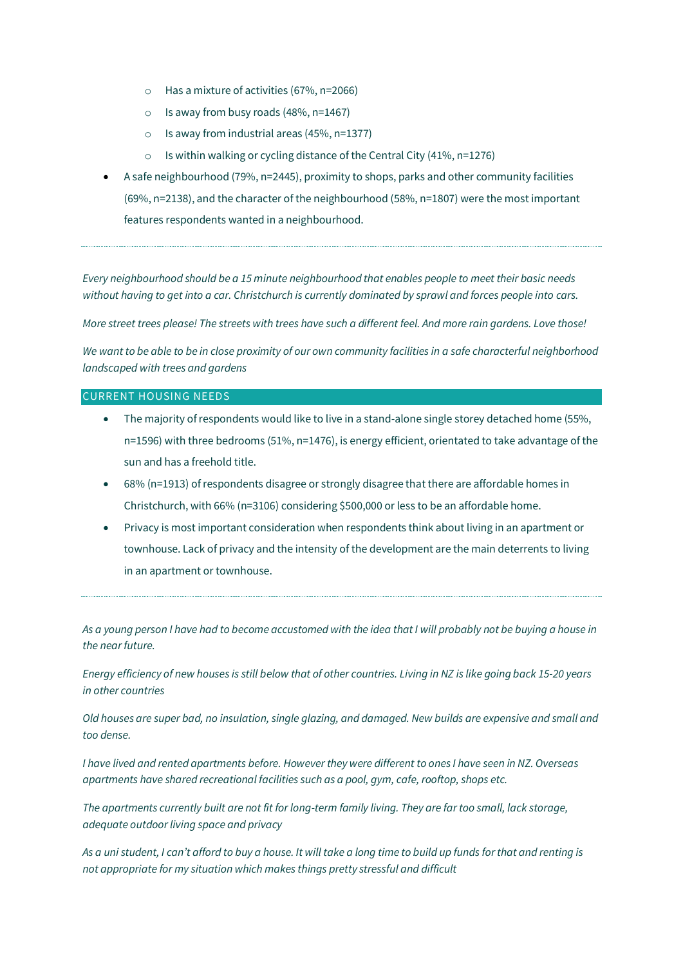- o Has a mixture of activities (67%, n=2066)
- $\circ$  Is away from busy roads (48%, n=1467)
- o Is away from industrial areas (45%, n=1377)
- $\circ$  Is within walking or cycling distance of the Central City (41%, n=1276)
- A safe neighbourhood (79%, n=2445), proximity to shops, parks and other community facilities (69%, n=2138), and the character of the neighbourhood (58%, n=1807) were the most important features respondents wanted in a neighbourhood.

*Every neighbourhood should be a 15 minute neighbourhood that enables people to meet their basic needs without having to get into a car. Christchurch is currently dominated by sprawl and forces people into cars.*

*More street trees please! The streets with trees have such a different feel. And more rain gardens. Love those!*

*We want to be able to be in close proximity of our own community facilities in a safe characterful neighborhood landscaped with trees and gardens*

## CURRENT HOUSING NEEDS

- The majority of respondents would like to live in a stand-alone single storey detached home (55%, n=1596) with three bedrooms (51%, n=1476), is energy efficient, orientated to take advantage of the sun and has a freehold title.
- 68% (n=1913) of respondents disagree or strongly disagree that there are affordable homes in Christchurch, with 66% (n=3106) considering \$500,000 or less to be an affordable home.
- Privacy is most important consideration when respondents think about living in an apartment or townhouse. Lack of privacy and the intensity of the development are the main deterrents to living in an apartment or townhouse.

*As a young person I have had to become accustomed with the idea that I will probably not be buying a house in the near future.*

*Energy efficiency of new houses is still below that of other countries. Living in NZ is like going back 15-20 years in other countries*

*Old houses are super bad, no insulation, single glazing, and damaged. New builds are expensive and small and too dense.*

*I have lived and rented apartments before. However they were different to ones I have seen in NZ. Overseas apartments have shared recreational facilities such as a pool, gym, cafe, rooftop, shops etc.*

*The apartments currently built are not fit for long-term family living. They are far too small, lack storage, adequate outdoor living space and privacy*

*As a uni student, I can't afford to buy a house. It will take a long time to build up funds for that and renting is not appropriate for my situation which makes things pretty stressful and difficult*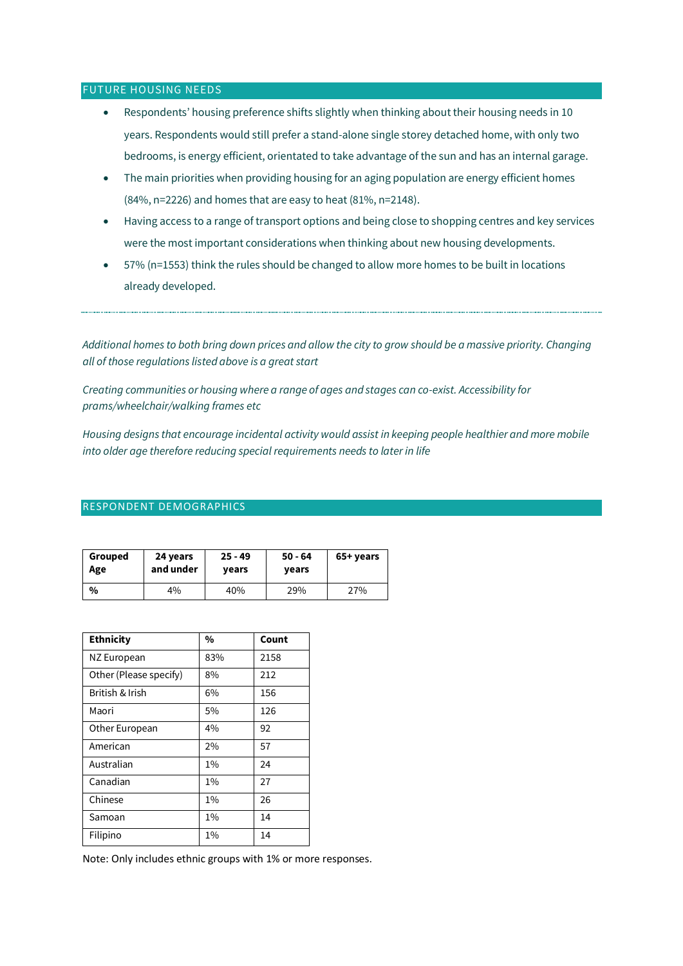#### FUTURE HOUSING NEEDS

- Respondents' housing preference shifts slightly when thinking about their housing needs in 10 years. Respondents would still prefer a stand-alone single storey detached home, with only two bedrooms, is energy efficient, orientated to take advantage of the sun and has an internal garage.
- The main priorities when providing housing for an aging population are energy efficient homes (84%, n=2226) and homes that are easy to heat (81%, n=2148).
- Having access to a range of transport options and being close to shopping centres and key services were the most important considerations when thinking about new housing developments.
- 57% (n=1553) think the rules should be changed to allow more homes to be built in locations already developed.

*Additional homes to both bring down prices and allow the city to grow should be a massive priority. Changing all of those regulations listed above is a great start*

*Creating communities or housing where a range of ages and stages can co-exist. Accessibility for prams/wheelchair/walking frames etc*

*Housing designs that encourage incidental activity would assist in keeping people healthier and more mobile into older age therefore reducing special requirements needs to later in life*

#### RESPONDENT DEMOGRAPHICS

| Grouped | 24 years  | $25 - 49$ | $50 - 64$ | 65+ years |
|---------|-----------|-----------|-----------|-----------|
| Age     | and under | vears     | years     |           |
| $\%$    | 4%        | 40%       | 29%       | 27%       |

| <b>Ethnicity</b>       | %     | Count |
|------------------------|-------|-------|
| NZ European            | 83%   | 2158  |
| Other (Please specify) | 8%    | 212   |
| British & Irish        | 6%    | 156   |
| Maori                  | 5%    | 126   |
| Other European         | 4%    | 92    |
| American               | 2%    | 57    |
| Australian             | $1\%$ | 24    |
| Canadian               | $1\%$ | 27    |
| Chinese                | $1\%$ | 26    |
| Samoan                 | $1\%$ | 14    |
| Filipino               | 1%    | 14    |

Note: Only includes ethnic groups with 1% or more responses.